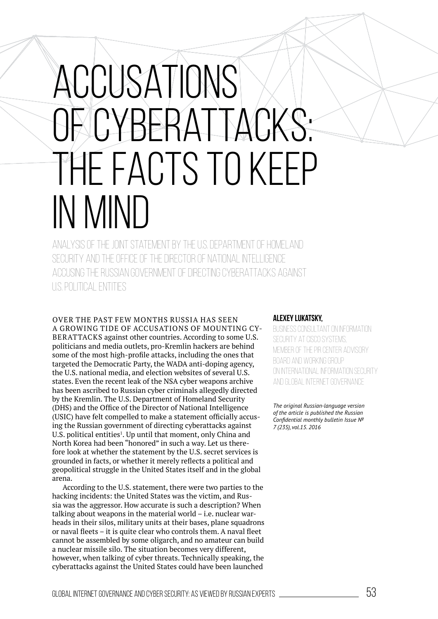## Accusations of cyberattacks: the facts to keep IN MIND

Analysis of the joint statement by the U.S. Department Of Homeland Security and the Office of the Director of National Intelligence accusing the Russian government of directing cyberattacks against U.S. political entities

OvER ThE PAST FEw MONThS RUSSIA hAS SEEN A GROwING TIDE OF ACCUSATIONS OF MOUNTING CYbERATTACKS against other countries. According to some U.S. politicians and media outlets, pro-Kremlin hackers are behind some of the most high-profile attacks, including the ones that targeted the Democratic Party, the wADA anti-doping agency, the U.S. national media, and election websites of several U.S. states. Even the recent leak of the NSA cyber weapons archive has been ascribed to Russian cyber criminals allegedly directed by the Kremlin. The U.S. Department of homeland Security (DHS) and the Ofice of the Director of National Intelligence (USIC) have felt compelled to make a statement oficially accusing the Russian government of directing cyberattacks against U.S. political entities<sup>1</sup>. Up until that moment, only China and North Korea had been "honored" in such a way. Let us therefore look at whether the statement by the U.S. secret services is grounded in facts, or whether it merely relects a political and geopolitical struggle in the United States itself and in the global arena.

According to the U.S. statement, there were two parties to the hacking incidents: the United States was the victim, and Russia was the aggressor. how accurate is such a description? when talking about weapons in the material world – i.e. nuclear warheads in their silos, military units at their bases, plane squadrons or naval fleets  $-$  it is quite clear who controls them. A naval fleet cannot be assembled by some oligarch, and no amateur can build a nuclear missile silo. The situation becomes very different, however, when talking of cyber threats. Technically speaking, the cyberattacks against the United States could have been launched

## **Alexey Lukatsky,**

BUSINESS CONSULTANT ON INFORMATION SECURITY AT CISCO SYSTEMS. member of the PIR Center Advisory Board and Working Group on International Information Security and Global Internet Governance

*The original Russian-language version of the article is published the Russian Conidential monthly bulletin Issue № 7 (235), vol.15. 2016*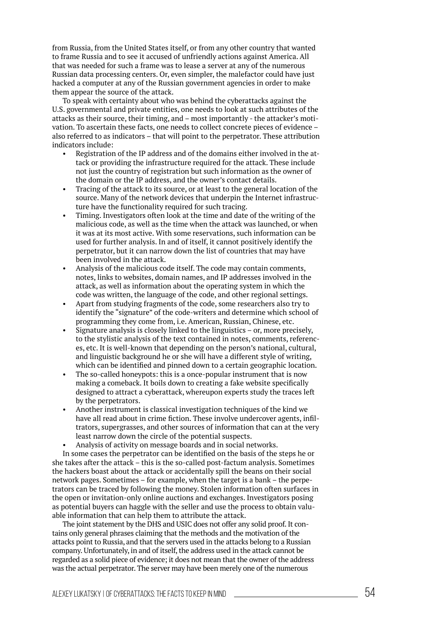from Russia, from the United States itself, or from any other country that wanted to frame Russia and to see it accused of unfriendly actions against America. All that was needed for such a frame was to lease a server at any of the numerous Russian data processing centers. Or, even simpler, the malefactor could have just hacked a computer at any of the Russian government agencies in order to make them appear the source of the attack.

To speak with certainty about who was behind the cyberattacks against the U.S. governmental and private entities, one needs to look at such attributes of the attacks as their source, their timing, and – most importantly - the attacker's motivation. To ascertain these facts, one needs to collect concrete pieces of evidence – also referred to as indicators – that will point to the perpetrator. These attribution indicators include:

- Registration of the IP address and of the domains either involved in the attack or providing the infrastructure required for the attack. These include not just the country of registration but such information as the owner of the domain or the IP address, and the owner's contact details.
- Tracing of the attack to its source, or at least to the general location of the source. Many of the network devices that underpin the Internet infrastructure have the functionality required for such tracing.
- Timing. Investigators often look at the time and date of the writing of the malicious code, as well as the time when the attack was launched, or when it was at its most active. with some reservations, such information can be used for further analysis. In and of itself, it cannot positively identify the perpetrator, but it can narrow down the list of countries that may have been involved in the attack.
- Analysis of the malicious code itself. The code may contain comments, notes, links to websites, domain names, and IP addresses involved in the attack, as well as information about the operating system in which the code was written, the language of the code, and other regional settings.
- Apart from studying fragments of the code, some researchers also try to identify the "signature" of the code-writers and determine which school of programming they come from, i.e. American, Russian, Chinese, etc.
- Signature analysis is closely linked to the linguistics  $-$  or, more precisely, to the stylistic analysis of the text contained in notes, comments, references, etc. It is well-known that depending on the person's national, cultural, and linguistic background he or she will have a different style of writing, which can be identified and pinned down to a certain geographic location.
- The so-called honeypots: this is a once-popular instrument that is now making a comeback. It boils down to creating a fake website specifically designed to attract a cyberattack, whereupon experts study the traces left by the perpetrators.
- Another instrument is classical investigation techniques of the kind we have all read about in crime fiction. These involve undercover agents, infiltrators, supergrasses, and other sources of information that can at the very least narrow down the circle of the potential suspects.
- Analysis of activity on message boards and in social networks.

In some cases the perpetrator can be identified on the basis of the steps he or she takes after the attack – this is the so-called post-factum analysis. Sometimes the hackers boast about the attack or accidentally spill the beans on their social network pages. Sometimes – for example, when the target is a bank – the perpetrators can be traced by following the money. Stolen information often surfaces in the open or invitation-only online auctions and exchanges. Investigators posing as potential buyers can haggle with the seller and use the process to obtain valuable information that can help them to attribute the attack.

The joint statement by the DHS and USIC does not offer any solid proof. It contains only general phrases claiming that the methods and the motivation of the attacks point to Russia, and that the servers used in the attacks belong to a Russian company. Unfortunately, in and of itself, the address used in the attack cannot be regarded as a solid piece of evidence; it does not mean that the owner of the address was the actual perpetrator. The server may have been merely one of the numerous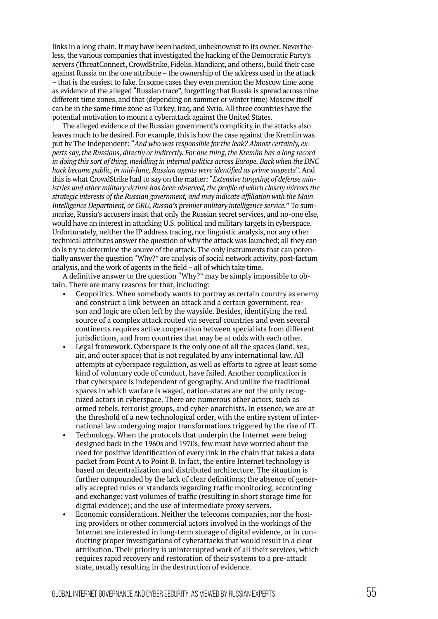links in a long chain. It may have been hacked, unbeknownst to its owner. Nevertheless, the various companies that investigated the hacking of the Democratic Party's servers (ThreatConnect, CrowdStrike, Fidelis, Mandiant, and others), build their case against Russia on the one attribute – the ownership of the address used in the attack – that is the easiest to fake. In some cases they even mention the Moscow time zone as evidence of the alleged "Russian trace", forgetting that Russia is spread across nine different time zones, and that (depending on summer or winter time) Moscow itself can be in the same time zone as Turkey, Iraq, and Syria. All three countries have the potential motivation to mount a cyberattack against the United States.

The alleged evidence of the Russian government's complicity in the attacks also leaves much to be desired. For example, this is how the case against the Kremlin was put by The Independent: "And who was responsible for the leak? Almost certainly, experts say, the Russians, directly or indirectly. For one thing, the Kremlin has a long record *in doing this sort of thing, meddling in internal politics across Europe. Back when the DNC hack became public, in mid-June, Russian agents were identified as prime suspects"*. And this is what CrowdStrike had to say on the matter: "*Extensive targeting of defense ministries and other military victims has been observed, the profile of which closely mirrors the* strategic interests of the Russian government, and may indicate affiliation with the Main *Intelligence Department, or GRU, Russia's premier military intelligence service.*" To summarize, Russia's accusers insist that only the Russian secret services, and no-one else, would have an interest in attacking U.S. political and military targets in cyberspace. Unfortunately, neither the IP address tracing, nor linguistic analysis, nor any other technical attributes answer the question of why the attack was launched; all they can do is try to determine the source of the attack. The only instruments that can potentially answer the question "why?" are analysis of social network activity, post-factum analysis, and the work of agents in the field – all of which take time.

A definitive answer to the question "Why?" may be simply impossible to obtain. There are many reasons for that, including:

- Geopolitics. when somebody wants to portray as certain country as enemy and construct a link between an attack and a certain government, reason and logic are often left by the wayside. Besides, identifying the real source of a complex attack routed via several countries and even several continents requires active cooperation between specialists from different jurisdictions, and from countries that may be at odds with each other.
- Legal framework. Cyberspace is the only one of all the spaces (land, sea, air, and outer space) that is not regulated by any international law. All attempts at cyberspace regulation, as well as efforts to agree at least some kind of voluntary code of conduct, have failed. Another complication is that cyberspace is independent of geography. And unlike the traditional spaces in which warfare is waged, nation-states are not the only recognized actors in cyberspace. There are numerous other actors, such as armed rebels, terrorist groups, and cyber-anarchists. In essence, we are at the threshold of a new technological order, with the entire system of international law undergoing major transformations triggered by the rise of IT.
- Technology. when the protocols that underpin the Internet were being designed back in the 1960s and 1970s, few must have worried about the need for positive identification of every link in the chain that takes a data packet from Point A to Point B. In fact, the entire Internet technology is based on decentralization and distributed architecture. The situation is further compounded by the lack of clear definitions; the absence of generally accepted rules or standards regarding trafic monitoring, accounting and exchange; vast volumes of trafic (resulting in short storage time for digital evidence); and the use of intermediate proxy servers.
- Economic considerations. Neither the telecoms companies, nor the hosting providers or other commercial actors involved in the workings of the Internet are interested in long-term storage of digital evidence, or in conducting proper investigations of cyberattacks that would result in a clear attribution. Their priority is uninterrupted work of all their services, which requires rapid recovery and restoration of their systems to a pre-attack state, usually resulting in the destruction of evidence.